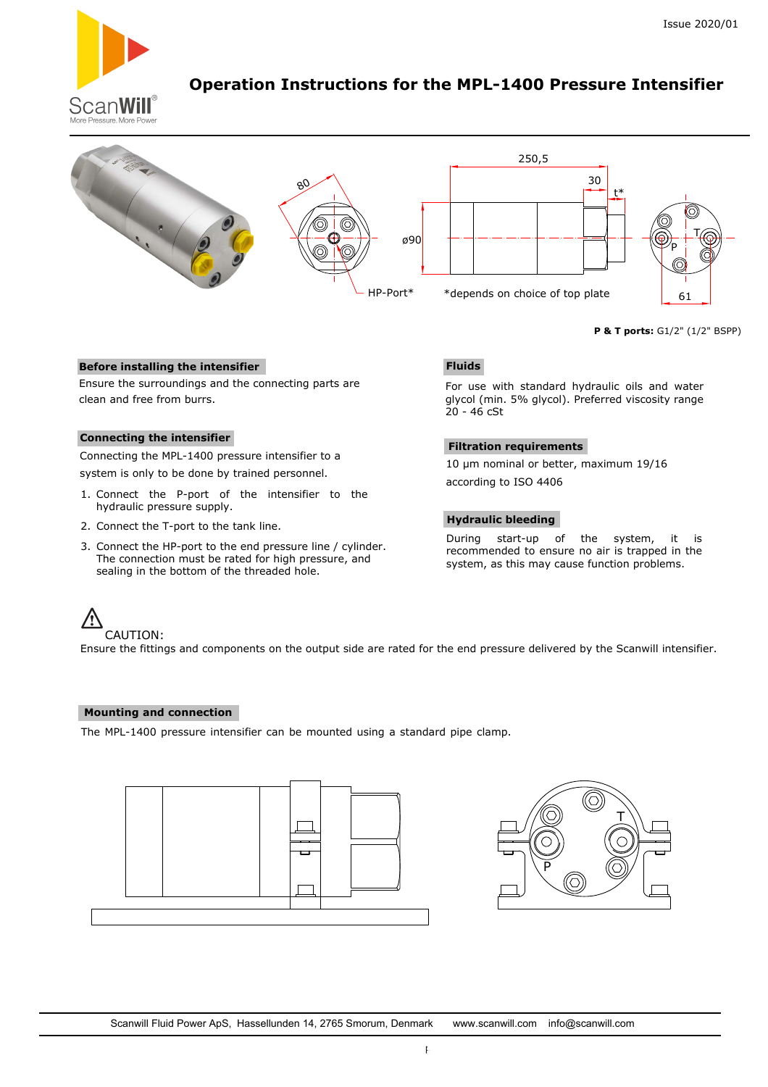

# **Operation Instructions for the MPL-1400 Pressure Intensifier**



**P & T ports:** G1/2" (1/2" BSPP)

# **Before installing the intensifier**

Ensure the surroundings and the connecting parts are clean and free from burrs.

# **Connecting the intensifier**

Connecting the MPL-1400 pressure intensifier to a system is only to be done by trained personnel.

- 1. Connect the P-port of the intensifier to the hydraulic pressure supply.
- 2. Connect the T-port to the tank line.
- 3. Connect the HP-port to the end pressure line / cylinder. The connection must be rated for high pressure, and sealing in the bottom of the threaded hole.

# **Fluids**

For use with standard hydraulic oils and water glycol (min. 5% glycol). Preferred viscosity range 20 - 46 cSt

### **Filtration requirements**

10 µm nominal or better, maximum 19/16 according to ISO 4406

### **Hydraulic bleeding**

During start-up of the system, it is recommended to ensure no air is trapped in the system, as this may cause function problems.

### CAUTION:

Ensure the fittings and components on the output side are rated for the end pressure delivered by the Scanwill intensifier.

### **Mounting and connection**

The MPL-1400 pressure intensifier can be mounted using a standard pipe clamp.